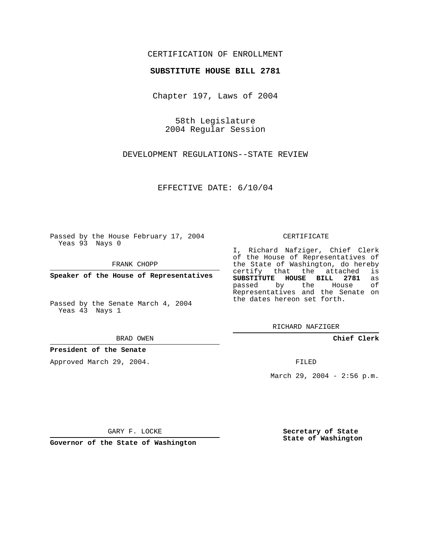## CERTIFICATION OF ENROLLMENT

#### **SUBSTITUTE HOUSE BILL 2781**

Chapter 197, Laws of 2004

58th Legislature 2004 Regular Session

DEVELOPMENT REGULATIONS--STATE REVIEW

EFFECTIVE DATE: 6/10/04

Passed by the House February 17, 2004 Yeas 93 Nays 0

FRANK CHOPP

**Speaker of the House of Representatives**

Passed by the Senate March 4, 2004 Yeas 43 Nays 1

BRAD OWEN

### **President of the Senate**

Approved March 29, 2004.

CERTIFICATE

I, Richard Nafziger, Chief Clerk of the House of Representatives of the State of Washington, do hereby<br>certify that the attached is certify that the attached **SUBSTITUTE HOUSE BILL 2781** as passed by the House Representatives and the Senate on the dates hereon set forth.

RICHARD NAFZIGER

**Chief Clerk**

FILED

March 29, 2004 - 2:56 p.m.

GARY F. LOCKE

**Governor of the State of Washington**

**Secretary of State State of Washington**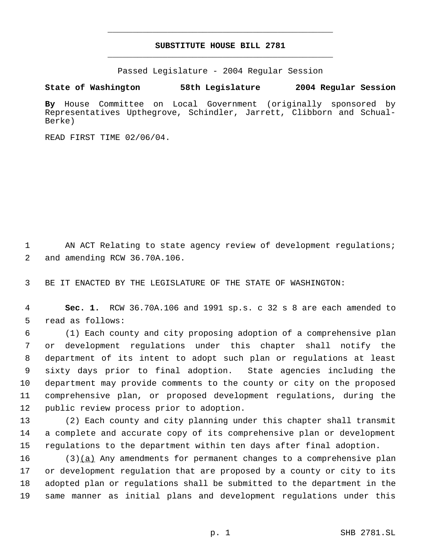# **SUBSTITUTE HOUSE BILL 2781** \_\_\_\_\_\_\_\_\_\_\_\_\_\_\_\_\_\_\_\_\_\_\_\_\_\_\_\_\_\_\_\_\_\_\_\_\_\_\_\_\_\_\_\_\_

\_\_\_\_\_\_\_\_\_\_\_\_\_\_\_\_\_\_\_\_\_\_\_\_\_\_\_\_\_\_\_\_\_\_\_\_\_\_\_\_\_\_\_\_\_

Passed Legislature - 2004 Regular Session

### **State of Washington 58th Legislature 2004 Regular Session**

**By** House Committee on Local Government (originally sponsored by Representatives Upthegrove, Schindler, Jarrett, Clibborn and Schual-Berke)

READ FIRST TIME 02/06/04.

1 AN ACT Relating to state agency review of development regulations; and amending RCW 36.70A.106.

BE IT ENACTED BY THE LEGISLATURE OF THE STATE OF WASHINGTON:

 **Sec. 1.** RCW 36.70A.106 and 1991 sp.s. c 32 s 8 are each amended to read as follows:

 (1) Each county and city proposing adoption of a comprehensive plan or development regulations under this chapter shall notify the department of its intent to adopt such plan or regulations at least sixty days prior to final adoption. State agencies including the department may provide comments to the county or city on the proposed comprehensive plan, or proposed development regulations, during the public review process prior to adoption.

 (2) Each county and city planning under this chapter shall transmit a complete and accurate copy of its comprehensive plan or development regulations to the department within ten days after final adoption.

 (3)(a) Any amendments for permanent changes to a comprehensive plan or development regulation that are proposed by a county or city to its adopted plan or regulations shall be submitted to the department in the same manner as initial plans and development regulations under this